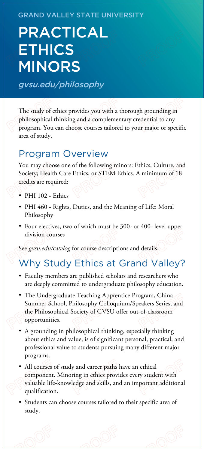#### GRAND VALLEY STATE UNIVERSITY

# PRACTICAL **ETHICS** MINORS

gvsu.edu/philosophy

The study of ethics provides you with a thorough grounding in philosophical thinking and a complementary credential to any program. You can choose courses tailored to your major or specific area of study.

### Program Overview

You may choose one of the following minors: Ethics, Culture, and Society; Health Care Ethics; or STEM Ethics. A minimum of 18 credits are required:

- PHI 102 Ethics
- PHI 460 Rights, Duties, and the Meaning of Life: Moral Philosophy
- Four electives, two of which must be 300- or 400- level upper division courses

See gvsu.edu/catalog for course descriptions and details.

# Why Study Ethics at Grand Valley?

- Faculty members are published scholars and researchers who are deeply committed to undergraduate philosophy education.
- The Undergraduate Teaching Apprentice Program, China Summer School, Philosophy Colloquium/Speakers Series, and the Philosophical Society of GVSU offer out-of-classroom opportunities.
- A grounding in philosophical thinking, especially thinking about ethics and value, is of significant personal, practical, and professional value to students pursuing many different major programs.
- All courses of study and career paths have an ethical component. Minoring in ethics provides every student with valuable life-knowledge and skills, and an important additional qualification.
- Students can choose courses tailored to their specific area of study.